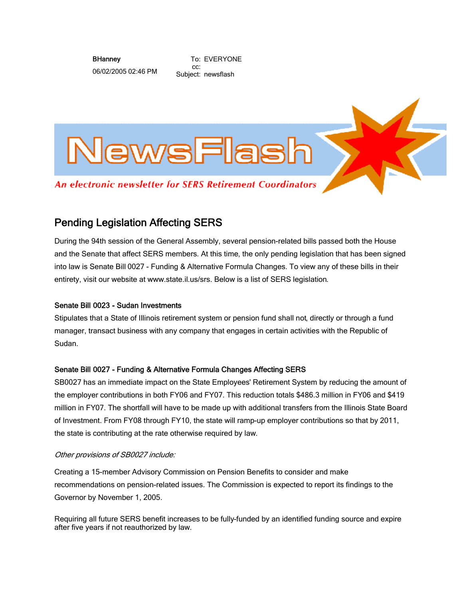**BHanney** 

06/02/2005 02:46 PM

To: EVERYONE cc: Subject: newsflash



# Pending Legislation Affecting SERS

During the 94th session of the General Assembly, several pension-related bills passed both the House and the Senate that affect SERS members. At this time, the only pending legislation that has been signed into law is Senate Bill 0027 - Funding & Alternative Formula Changes. To view any of these bills in their entirety, visit our website at www.state.il.us/srs. Below is a list of SERS legislation.

# Senate Bill 0023 - Sudan Investments

Stipulates that a State of Illinois retirement system or pension fund shall not, directly or through a fund manager, transact business with any company that engages in certain activities with the Republic of Sudan.

# Senate Bill 0027 - Funding & Alternative Formula Changes Affecting SERS

SB0027 has an immediate impact on the State Employees' Retirement System by reducing the amount of the employer contributions in both FY06 and FY07. This reduction totals \$486.3 million in FY06 and \$419 million in FY07. The shortfall will have to be made up with additional transfers from the Illinois State Board of Investment. From FY08 through FY10, the state will ramp-up employer contributions so that by 2011, the state is contributing at the rate otherwise required by law.

## Other provisions of SB0027 include:

Creating a 15-member Advisory Commission on Pension Benefits to consider and make recommendations on pension-related issues. The Commission is expected to report its findings to the Governor by November 1, 2005.

Requiring all future SERS benefit increases to be fully-funded by an identified funding source and expire after five years if not reauthorized by law.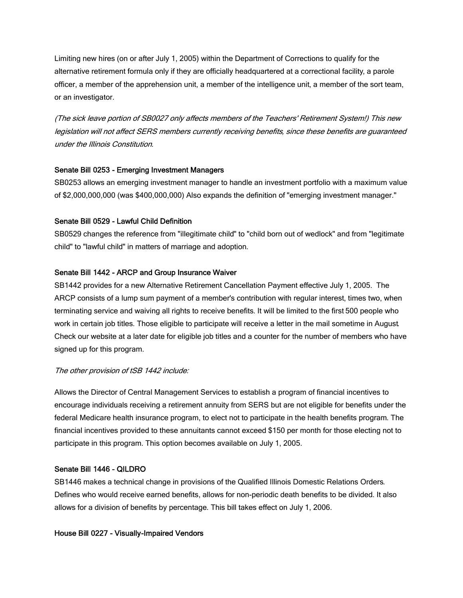Limiting new hires (on or after July 1, 2005) within the Department of Corrections to qualify for the alternative retirement formula only if they are officially headquartered at a correctional facility, a parole officer, a member of the apprehension unit, a member of the intelligence unit, a member of the sort team, or an investigator.

(The sick leave portion of SB0027 only affects members of the Teachers' Retirement System!) This new legislation will not affect SERS members currently receiving benefits, since these benefits are guaranteed under the Illinois Constitution.

## Senate Bill 0253 - Emerging Investment Managers

SB0253 allows an emerging investment manager to handle an investment portfolio with a maximum value of \$2,000,000,000 (was \$400,000,000) Also expands the definition of "emerging investment manager."

## Senate Bill 0529 - Lawful Child Definition

SB0529 changes the reference from "illegitimate child" to "child born out of wedlock" and from "legitimate child" to "lawful child" in matters of marriage and adoption.

## Senate Bill 1442 - ARCP and Group Insurance Waiver

SB1442 provides for a new Alternative Retirement Cancellation Payment effective July 1, 2005. The ARCP consists of a lump sum payment of a member's contribution with regular interest, times two, when terminating service and waiving all rights to receive benefits. It will be limited to the first 500 people who work in certain job titles. Those eligible to participate will receive a letter in the mail sometime in August. Check our website at a later date for eligible job titles and a counter for the number of members who have signed up for this program.

## The other provision of tSB 1442 include:

Allows the Director of Central Management Services to establish a program of financial incentives to encourage individuals receiving a retirement annuity from SERS but are not eligible for benefits under the federal Medicare health insurance program, to elect not to participate in the health benefits program. The financial incentives provided to these annuitants cannot exceed \$150 per month for those electing not to participate in this program. This option becomes available on July 1, 2005.

## Senate Bill 1446 - QILDRO

SB1446 makes a technical change in provisions of the Qualified Illinois Domestic Relations Orders. Defines who would receive earned benefits, allows for non-periodic death benefits to be divided. It also allows for a division of benefits by percentage. This bill takes effect on July 1, 2006.

## House Bill 0227 - Visually-Impaired Vendors